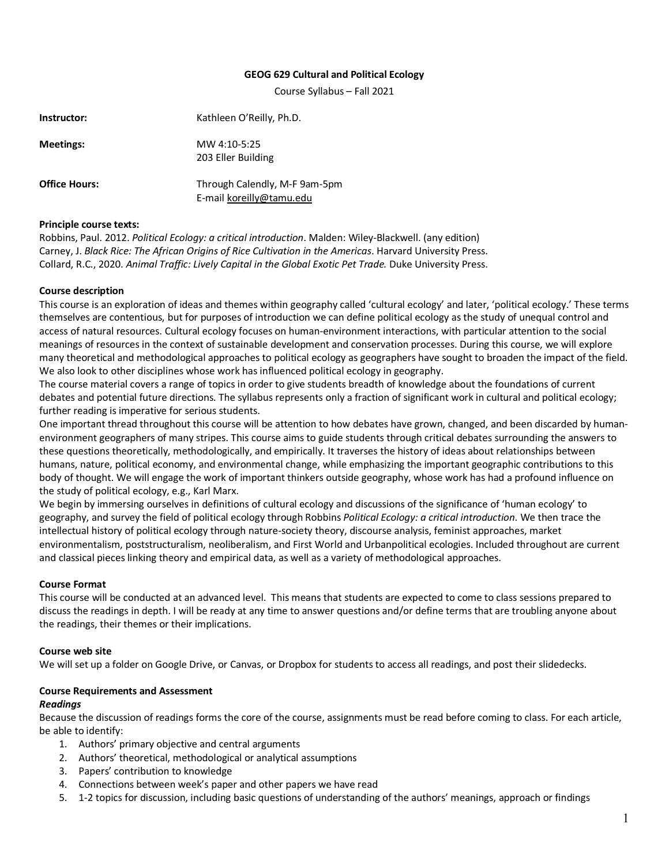#### **GEOG 629 Cultural and Political Ecology**

Course Syllabus – Fall 2021

| Instructor:          | Kathleen O'Reilly, Ph.D.                                  |
|----------------------|-----------------------------------------------------------|
| <b>Meetings:</b>     | MW 4:10-5:25<br>203 Eller Building                        |
| <b>Office Hours:</b> | Through Calendly, M-F 9am-5pm<br>E-mail koreilly@tamu.edu |

#### **Principle course texts:**

Robbins, Paul. 2012. *Political Ecology: a critical introduction*. Malden: Wiley-Blackwell. (any edition) Carney, J. *Black Rice: The African Origins of Rice Cultivation in the Americas*. Harvard University Press. Collard, R.C., 2020. Animal Traffic: Lively Capital in the Global Exotic Pet Trade. Duke University Press.

#### **Course description**

This course is an exploration of ideas and themes within geography called 'cultural ecology' and later, 'political ecology.' These terms themselves are contentious, but for purposes of introduction we can define political ecology as the study of unequal control and access of natural resources. Cultural ecology focuses on human-environment interactions, with particular attention to the social meanings of resources in the context of sustainable development and conservation processes. During this course, we will explore many theoretical and methodological approaches to political ecology as geographers have sought to broaden the impact of the field. We also look to other disciplines whose work has influenced political ecology in geography.

The course material covers a range of topics in order to give students breadth of knowledge about the foundations of current debates and potential future directions. The syllabus represents only a fraction of significant work in cultural and political ecology; further reading is imperative for serious students.

One important thread throughout this course will be attention to how debates have grown, changed, and been discarded by humanenvironment geographers of many stripes. This course aims to guide students through critical debates surrounding the answers to these questions theoretically, methodologically, and empirically. It traverses the history of ideas about relationships between humans, nature, political economy, and environmental change, while emphasizing the important geographic contributions to this body of thought. We will engage the work of important thinkers outside geography, whose work has had a profound influence on the study of political ecology, e.g., Karl Marx.

We begin by immersing ourselves in definitions of cultural ecology and discussions of the significance of 'human ecology' to geography, and survey the field of political ecology through Robbins *Political Ecology: a critical introduction*. We then trace the intellectual history of political ecology through nature-society theory, discourse analysis, feminist approaches, market environmentalism, poststructuralism, neoliberalism, and First World and Urbanpolitical ecologies. Included throughout are current and classical pieces linking theory and empirical data, as well as a variety of methodological approaches.

# **Course Format**

This course will be conducted at an advanced level. This means that students are expected to come to class sessions prepared to discuss the readings in depth. I will be ready at any time to answer questions and/or define terms that are troubling anyone about the readings, their themes or their implications.

#### **Course web site**

We will set up a folder on Google Drive, or Canvas, or Dropbox for students to access all readings, and post their slidedecks.

# **Course Requirements and Assessment**

#### *Readings*

Because the discussion of readings forms the core of the course, assignments must be read before coming to class. For each article, be able to identify:

- 1. Authors' primary objective and central arguments
- 2. Authors' theoretical, methodological or analytical assumptions
- 3. Papers' contribution to knowledge
- 4. Connections between week's paper and other papers we have read
- 5. 1-2 topics for discussion, including basic questions of understanding of the authors' meanings, approach or findings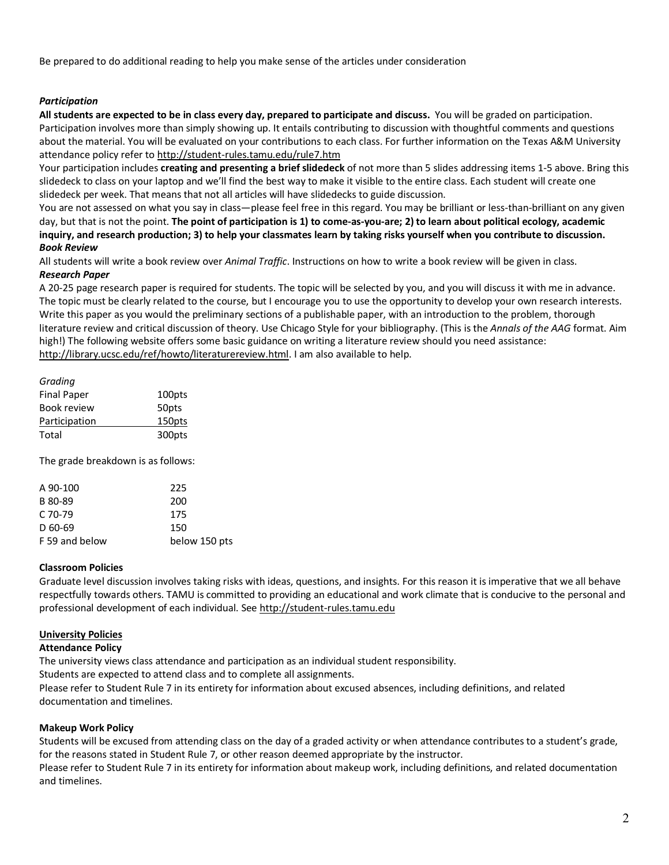Be prepared to do additional reading to help you make sense of the articles under consideration

# *Participation*

**All students are expected to be in class every day, prepared to participate and discuss.** You will be graded on participation. Participation involves more than simply showing up. It entails contributing to discussion with thoughtful comments and questions about the material. You will be evaluated on your contributions to each class. For further information on the Texas A&M University attendance policy refer to http://student-rules.tamu.edu/rule7.htm

Your participation includes **creating and presenting a brief slidedeck** of not more than 5 slides addressing items 1-5 above. Bring this slidedeck to class on your laptop and we'll find the best way to make it visible to the entire class. Each student will create one slidedeck per week. That means that not all articles will have slidedecks to guide discussion.

You are not assessed on what you say in class—please feel free in this regard. You may be brilliant or less-than-brilliant on any given day, but that is not the point. **The point of participation is 1) to come-as-you-are; 2) to learn about political ecology, academic inquiry, and research production; 3) to help your classmates learn by taking risks yourself when you contribute to discussion.** *Book Review*

All students will write a book review over *Animal Traffic*. Instructions on how to write a book review will be given in class. *Research Paper*

A 20-25 page research paper is required for students. The topic will be selected by you, and you will discuss it with me in advance. The topic must be clearly related to the course, but I encourage you to use the opportunity to develop your own research interests. Write this paper as you would the preliminary sections of a publishable paper, with an introduction to the problem, thorough literature review and critical discussion of theory. Use Chicago Style for your bibliography. (This is the *Annals of the AAG* format. Aim high!) The following website offers some basic guidance on writing a literature review should you need assistance: http://library.ucsc.edu/ref/howto/literaturereview.html. I am also available to help.

| Gradina            |                    |
|--------------------|--------------------|
| <b>Final Paper</b> | 100pts             |
| <b>Book review</b> | 50 <sub>p</sub> ts |
| Participation      | 150pts             |
| Total              | 300pts             |

The grade breakdown is as follows:

| A 90-100       | 225           |
|----------------|---------------|
| B 80-89        | 200           |
| C 70-79        | 175           |
| D 60-69        | 150           |
| F 59 and below | below 150 pts |
|                |               |

#### **Classroom Policies**

Graduate level discussion involves taking risks with ideas, questions, and insights. For this reason it is imperative that we all behave respectfully towards others. TAMU is committed to providing an educational and work climate that is conducive to the personal and professional development of each individual. See http://student-rules.tamu.edu

# **University Policies**

#### **Attendance Policy**

The university views class attendance and participation as an individual student responsibility.

Students are expected to attend class and to complete all assignments.

Please refer to Student Rule 7 in its entirety for information about excused absences, including definitions, and related documentation and timelines.

# **Makeup Work Policy**

Students will be excused from attending class on the day of a graded activity or when attendance contributes to a student's grade, for the reasons stated in Student Rule 7, or other reason deemed appropriate by the instructor.

Please refer to Student Rule 7 in its entirety for information about makeup work, including definitions, and related documentation and timelines.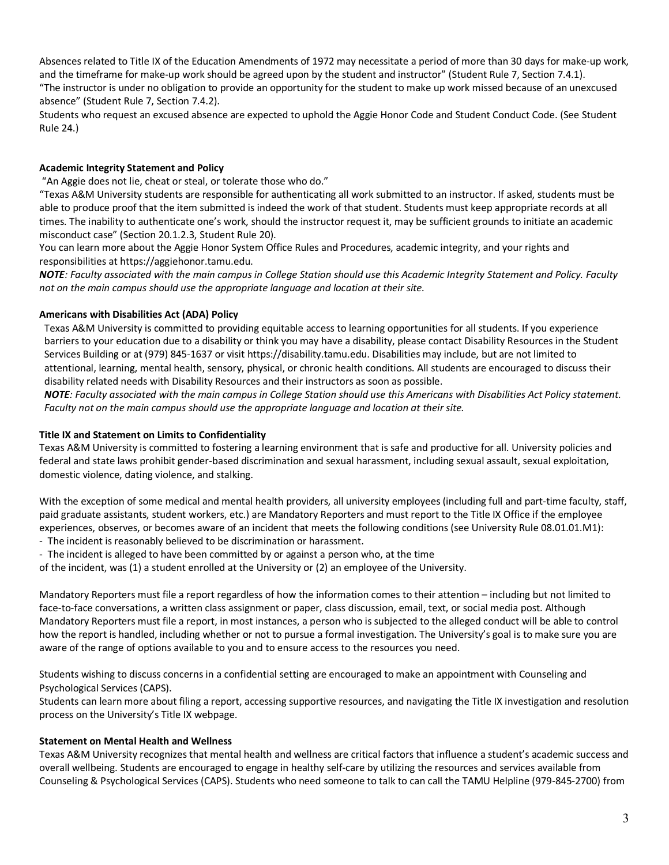Absences related to Title IX of the Education Amendments of 1972 may necessitate a period of more than 30 days for make-up work, and the timeframe for make-up work should be agreed upon by the student and instructor" (Student Rule 7, Section 7.4.1). "The instructor is under no obligation to provide an opportunity for the student to make up work missed because of an unexcused absence" (Student Rule 7, Section 7.4.2).

Students who request an excused absence are expected to uphold the Aggie Honor Code and Student Conduct Code. (See Student Rule 24.)

# **Academic Integrity Statement and Policy**

"An Aggie does not lie, cheat or steal, or tolerate those who do."

"Texas A&M University students are responsible for authenticating all work submitted to an instructor. If asked, students must be able to produce proof that the item submitted is indeed the work of that student. Students must keep appropriate records at all times. The inability to authenticate one's work, should the instructor request it, may be sufficient grounds to initiate an academic misconduct case" (Section 20.1.2.3, Student Rule 20).

You can learn more about the Aggie Honor System Office Rules and Procedures, academic integrity, and your rights and responsibilities at https://aggiehonor.tamu.edu.

*NOTE: Faculty associated with the main campus in College Station should use this Academic Integrity Statement and Policy. Faculty not on the main campus should use the appropriate language and location at their site.* 

# **Americans with Disabilities Act (ADA) Policy**

Texas A&M University is committed to providing equitable access to learning opportunities for all students. If you experience barriers to your education due to a disability or think you may have a disability, please contact Disability Resources in the Student Services Building or at (979) 845-1637 or visit https://disability.tamu.edu. Disabilities may include, but are not limited to attentional, learning, mental health, sensory, physical, or chronic health conditions. All students are encouraged to discuss their disability related needs with Disability Resources and their instructors as soon as possible.

*NOTE: Faculty associated with the main campus in College Station should use this Americans with Disabilities Act Policy statement. Faculty not on the main campus should use the appropriate language and location at their site.* 

# **Title IX and Statement on Limits to Confidentiality**

Texas A&M University is committed to fostering a learning environment that is safe and productive for all. University policies and federal and state laws prohibit gender-based discrimination and sexual harassment, including sexual assault, sexual exploitation, domestic violence, dating violence, and stalking.

With the exception of some medical and mental health providers, all university employees (including full and part-time faculty, staff, paid graduate assistants, student workers, etc.) are Mandatory Reporters and must report to the Title IX Office if the employee experiences, observes, or becomes aware of an incident that meets the following conditions (see University Rule 08.01.01.M1): - The incident is reasonably believed to be discrimination or harassment.

- The incident is alleged to have been committed by or against a person who, at the time

of the incident, was (1) a student enrolled at the University or (2) an employee of the University.

Mandatory Reporters must file a report regardless of how the information comes to their attention – including but not limited to face-to-face conversations, a written class assignment or paper, class discussion, email, text, or social media post. Although Mandatory Reporters must file a report, in most instances, a person who is subjected to the alleged conduct will be able to control how the report is handled, including whether or not to pursue a formal investigation. The University's goal is to make sure you are aware of the range of options available to you and to ensure access to the resources you need.

Students wishing to discuss concerns in a confidential setting are encouraged to make an appointment with Counseling and Psychological Services (CAPS).

Students can learn more about filing a report, accessing supportive resources, and navigating the Title IX investigation and resolution process on the University's Title IX webpage.

# **Statement on Mental Health and Wellness**

Texas A&M University recognizes that mental health and wellness are critical factors that influence a student's academic success and overall wellbeing. Students are encouraged to engage in healthy self-care by utilizing the resources and services available from Counseling & Psychological Services (CAPS). Students who need someone to talk to can call the TAMU Helpline (979-845-2700) from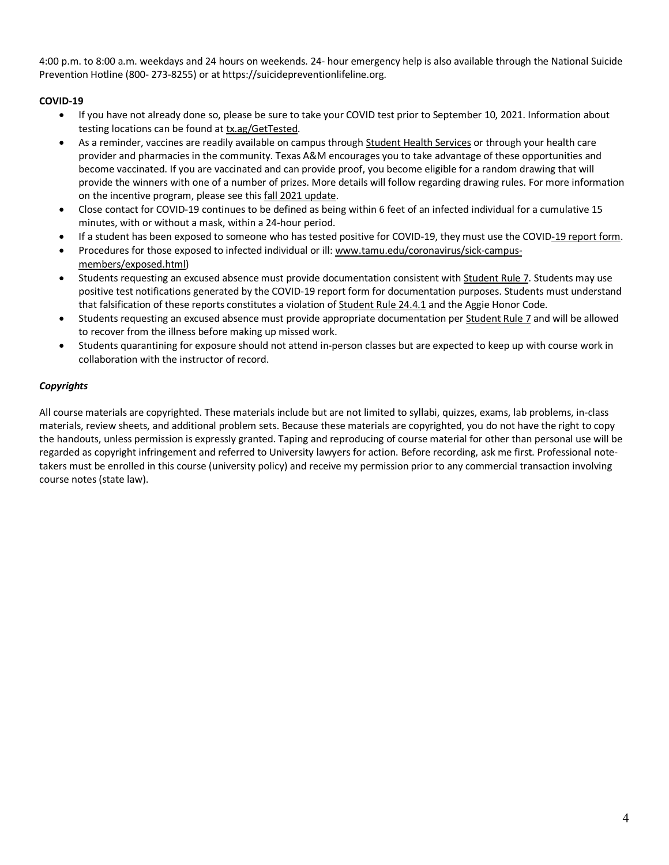4:00 p.m. to 8:00 a.m. weekdays and 24 hours on weekends. 24- hour emergency help is also available through the National Suicide Prevention Hotline (800- 273-8255) or at https://suicidepreventionlifeline.org.

# **COVID-19**

- If you have not already done so, please be sure to take your COVID test prior to September 10, 2021. Information about testing locations can be found at tx.ag/GetTested.
- As a reminder, vaccines are readily available on campus through Student Health Services or through your health care provider and pharmacies in the community. Texas A&M encourages you to take advantage of these opportunities and become vaccinated. If you are vaccinated and can provide proof, you become eligible for a random drawing that will provide the winners with one of a number of prizes. More details will follow regarding drawing rules. For more information on the incentive program, please see this fall 2021 update.
- Close contact for COVID-19 continues to be defined as being within 6 feet of an infected individual for a cumulative 15 minutes, with or without a mask, within a 24-hour period.
- If a student has been exposed to someone who has tested positive for COVID-19, they must use the COVID-19 report form.
- Procedures for those exposed to infected individual or ill: www.tamu.edu/coronavirus/sick-campusmembers/exposed.html)
- Students requesting an excused absence must provide documentation consistent with Student Rule 7. Students may use positive test notifications generated by the COVID-19 report form for documentation purposes. Students must understand that falsification of these reports constitutes a violation of Student Rule 24.4.1 and the Aggie Honor Code.
- Students requesting an excused absence must provide appropriate documentation per Student Rule 7 and will be allowed to recover from the illness before making up missed work.
- Students quarantining for exposure should not attend in-person classes but are expected to keep up with course work in collaboration with the instructor of record.

# *Copyrights*

All course materials are copyrighted. These materials include but are not limited to syllabi, quizzes, exams, lab problems, in-class materials, review sheets, and additional problem sets. Because these materials are copyrighted, you do not have the right to copy the handouts, unless permission is expressly granted. Taping and reproducing of course material for other than personal use will be regarded as copyright infringement and referred to University lawyers for action. Before recording, ask me first. Professional notetakers must be enrolled in this course (university policy) and receive my permission prior to any commercial transaction involving course notes (state law).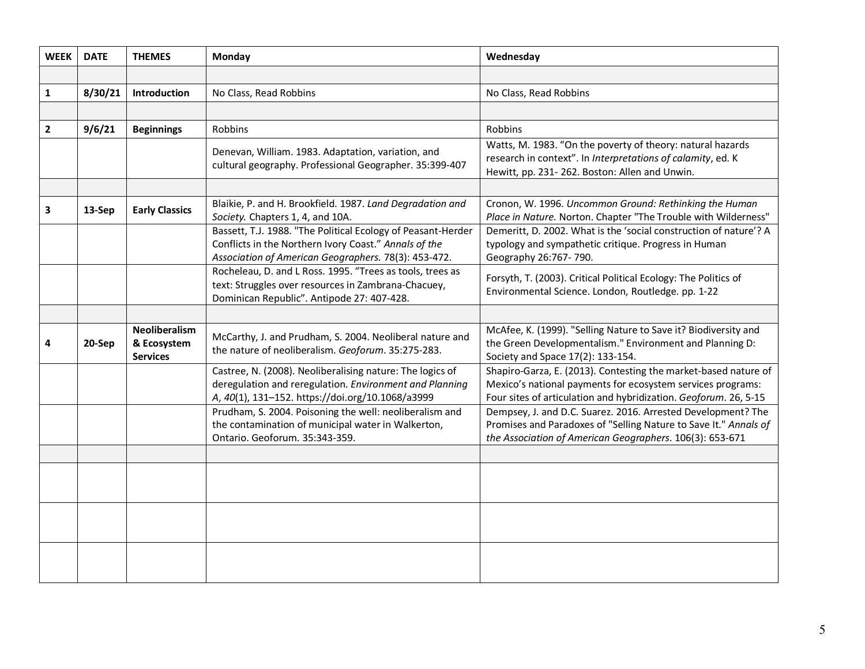| <b>WEEK</b>  | <b>DATE</b> | <b>THEMES</b>                                          | <b>Monday</b>                                                                                                                                                                 | Wednesday                                                                                                                                                                                          |
|--------------|-------------|--------------------------------------------------------|-------------------------------------------------------------------------------------------------------------------------------------------------------------------------------|----------------------------------------------------------------------------------------------------------------------------------------------------------------------------------------------------|
|              |             |                                                        |                                                                                                                                                                               |                                                                                                                                                                                                    |
| $\mathbf{1}$ | 8/30/21     | Introduction                                           | No Class, Read Robbins                                                                                                                                                        | No Class, Read Robbins                                                                                                                                                                             |
|              |             |                                                        |                                                                                                                                                                               |                                                                                                                                                                                                    |
| $\mathbf{2}$ | 9/6/21      | <b>Beginnings</b>                                      | Robbins                                                                                                                                                                       | Robbins                                                                                                                                                                                            |
|              |             |                                                        | Denevan, William. 1983. Adaptation, variation, and<br>cultural geography. Professional Geographer. 35:399-407                                                                 | Watts, M. 1983. "On the poverty of theory: natural hazards<br>research in context". In Interpretations of calamity, ed. K<br>Hewitt, pp. 231-262. Boston: Allen and Unwin.                         |
|              |             |                                                        |                                                                                                                                                                               |                                                                                                                                                                                                    |
| 3            | 13-Sep      | <b>Early Classics</b>                                  | Blaikie, P. and H. Brookfield. 1987. Land Degradation and<br>Society. Chapters 1, 4, and 10A.                                                                                 | Cronon, W. 1996. Uncommon Ground: Rethinking the Human<br>Place in Nature. Norton. Chapter "The Trouble with Wilderness"                                                                           |
|              |             |                                                        | Bassett, T.J. 1988. "The Political Ecology of Peasant-Herder<br>Conflicts in the Northern Ivory Coast." Annals of the<br>Association of American Geographers. 78(3): 453-472. | Demeritt, D. 2002. What is the 'social construction of nature'? A<br>typology and sympathetic critique. Progress in Human<br>Geography 26:767-790.                                                 |
|              |             |                                                        | Rocheleau, D. and L Ross. 1995. "Trees as tools, trees as<br>text: Struggles over resources in Zambrana-Chacuey,<br>Dominican Republic". Antipode 27: 407-428.                | Forsyth, T. (2003). Critical Political Ecology: The Politics of<br>Environmental Science. London, Routledge. pp. 1-22                                                                              |
|              |             |                                                        |                                                                                                                                                                               |                                                                                                                                                                                                    |
|              | 20-Sep      | <b>Neoliberalism</b><br>& Ecosystem<br><b>Services</b> | McCarthy, J. and Prudham, S. 2004. Neoliberal nature and<br>the nature of neoliberalism. Geoforum. 35:275-283.                                                                | McAfee, K. (1999). "Selling Nature to Save it? Biodiversity and<br>the Green Developmentalism." Environment and Planning D:<br>Society and Space 17(2): 133-154.                                   |
|              |             |                                                        | Castree, N. (2008). Neoliberalising nature: The logics of<br>deregulation and reregulation. Environment and Planning<br>A, 40(1), 131-152. https://doi.org/10.1068/a3999      | Shapiro-Garza, E. (2013). Contesting the market-based nature of<br>Mexico's national payments for ecosystem services programs:<br>Four sites of articulation and hybridization. Geoforum. 26, 5-15 |
|              |             |                                                        | Prudham, S. 2004. Poisoning the well: neoliberalism and<br>the contamination of municipal water in Walkerton,<br>Ontario. Geoforum. 35:343-359.                               | Dempsey, J. and D.C. Suarez. 2016. Arrested Development? The<br>Promises and Paradoxes of "Selling Nature to Save It." Annals of<br>the Association of American Geographers. 106(3): 653-671       |
|              |             |                                                        |                                                                                                                                                                               |                                                                                                                                                                                                    |
|              |             |                                                        |                                                                                                                                                                               |                                                                                                                                                                                                    |
|              |             |                                                        |                                                                                                                                                                               |                                                                                                                                                                                                    |
|              |             |                                                        |                                                                                                                                                                               |                                                                                                                                                                                                    |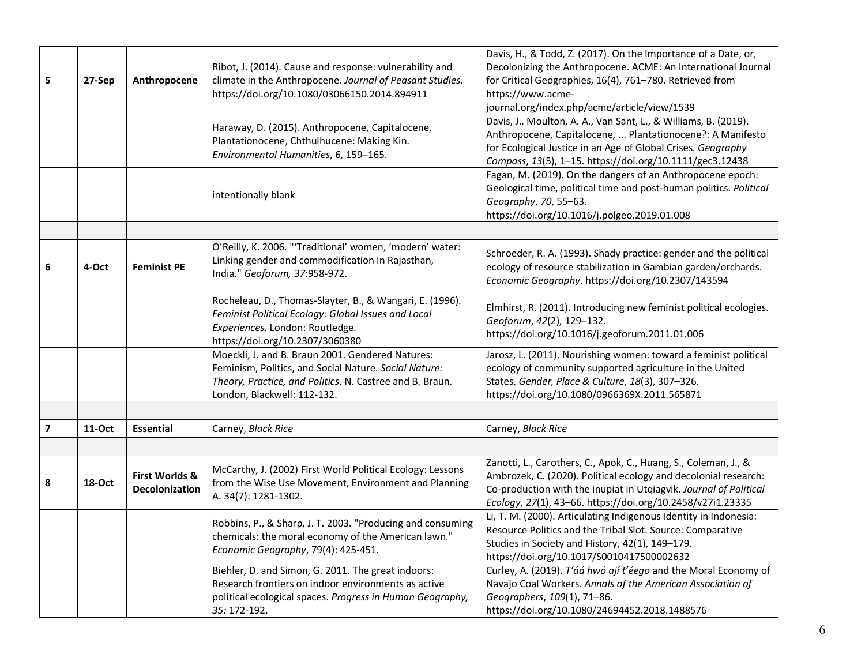| 5 | 27-Sep | Anthropocene                     | Ribot, J. (2014). Cause and response: vulnerability and<br>climate in the Anthropocene. Journal of Peasant Studies.<br>https://doi.org/10.1080/03066150.2014.894911                                  | Davis, H., & Todd, Z. (2017). On the Importance of a Date, or,<br>Decolonizing the Anthropocene. ACME: An International Journal<br>for Critical Geographies, 16(4), 761-780. Retrieved from<br>https://www.acme-<br>journal.org/index.php/acme/article/view/1539      |
|---|--------|----------------------------------|------------------------------------------------------------------------------------------------------------------------------------------------------------------------------------------------------|-----------------------------------------------------------------------------------------------------------------------------------------------------------------------------------------------------------------------------------------------------------------------|
|   |        |                                  | Haraway, D. (2015). Anthropocene, Capitalocene,<br>Plantationocene, Chthulhucene: Making Kin.<br>Environmental Humanities, 6, 159-165.                                                               | Davis, J., Moulton, A. A., Van Sant, L., & Williams, B. (2019).<br>Anthropocene, Capitalocene,  Plantationocene?: A Manifesto<br>for Ecological Justice in an Age of Global Crises. Geography<br>Compass, 13(5), 1-15. https://doi.org/10.1111/gec3.12438             |
|   |        |                                  | intentionally blank                                                                                                                                                                                  | Fagan, M. (2019). On the dangers of an Anthropocene epoch:<br>Geological time, political time and post-human politics. Political<br>Geography, 70, 55-63.<br>https://doi.org/10.1016/j.polgeo.2019.01.008                                                             |
|   |        |                                  |                                                                                                                                                                                                      |                                                                                                                                                                                                                                                                       |
| 6 | 4-Oct  | <b>Feminist PE</b>               | O'Reilly, K. 2006. "'Traditional' women, 'modern' water:<br>Linking gender and commodification in Rajasthan,<br>India." Geoforum, 37:958-972.                                                        | Schroeder, R. A. (1993). Shady practice: gender and the political<br>ecology of resource stabilization in Gambian garden/orchards.<br>Economic Geography. https://doi.org/10.2307/143594                                                                              |
|   |        |                                  | Rocheleau, D., Thomas-Slayter, B., & Wangari, E. (1996).<br>Feminist Political Ecology: Global Issues and Local<br>Experiences. London: Routledge.<br>https://doi.org/10.2307/3060380                | Elmhirst, R. (2011). Introducing new feminist political ecologies.<br>Geoforum, 42(2), 129-132.<br>https://doi.org/10.1016/j.geoforum.2011.01.006                                                                                                                     |
|   |        |                                  | Moeckli, J. and B. Braun 2001. Gendered Natures:<br>Feminism, Politics, and Social Nature. Social Nature:<br>Theory, Practice, and Politics. N. Castree and B. Braun.<br>London, Blackwell: 112-132. | Jarosz, L. (2011). Nourishing women: toward a feminist political<br>ecology of community supported agriculture in the United<br>States. Gender, Place & Culture, 18(3), 307-326.<br>https://doi.org/10.1080/0966369X.2011.565871                                      |
|   |        |                                  |                                                                                                                                                                                                      |                                                                                                                                                                                                                                                                       |
| 7 | 11-Oct | <b>Essential</b>                 | Carney, Black Rice                                                                                                                                                                                   | Carney, Black Rice                                                                                                                                                                                                                                                    |
|   |        |                                  |                                                                                                                                                                                                      |                                                                                                                                                                                                                                                                       |
| 8 | 18-Oct | First Worlds &<br>Decolonization | McCarthy, J. (2002) First World Political Ecology: Lessons<br>from the Wise Use Movement, Environment and Planning<br>A. 34(7): 1281-1302.                                                           | Zanotti, L., Carothers, C., Apok, C., Huang, S., Coleman, J., &<br>Ambrozek, C. (2020). Political ecology and decolonial research:<br>Co-production with the inupiat in Utqiagvik. Journal of Political<br>Ecology, 27(1), 43-66. https://doi.org/10.2458/v27i1.23335 |
|   |        |                                  | Robbins, P., & Sharp, J. T. 2003. "Producing and consuming<br>chemicals: the moral economy of the American lawn."<br>Economic Geography, 79(4): 425-451.                                             | Li, T. M. (2000). Articulating Indigenous Identity in Indonesia:<br>Resource Politics and the Tribal Slot. Source: Comparative<br>Studies in Society and History, 42(1), 149-179.<br>https://doi.org/10.1017/S0010417500002632                                        |
|   |        |                                  | Biehler, D. and Simon, G. 2011. The great indoors:<br>Research frontiers on indoor environments as active<br>political ecological spaces. Progress in Human Geography,<br>35: 172-192.               | Curley, A. (2019). T'áá hwó ají t'éego and the Moral Economy of<br>Navajo Coal Workers. Annals of the American Association of<br>Geographers, 109(1), 71-86.<br>https://doi.org/10.1080/24694452.2018.1488576                                                         |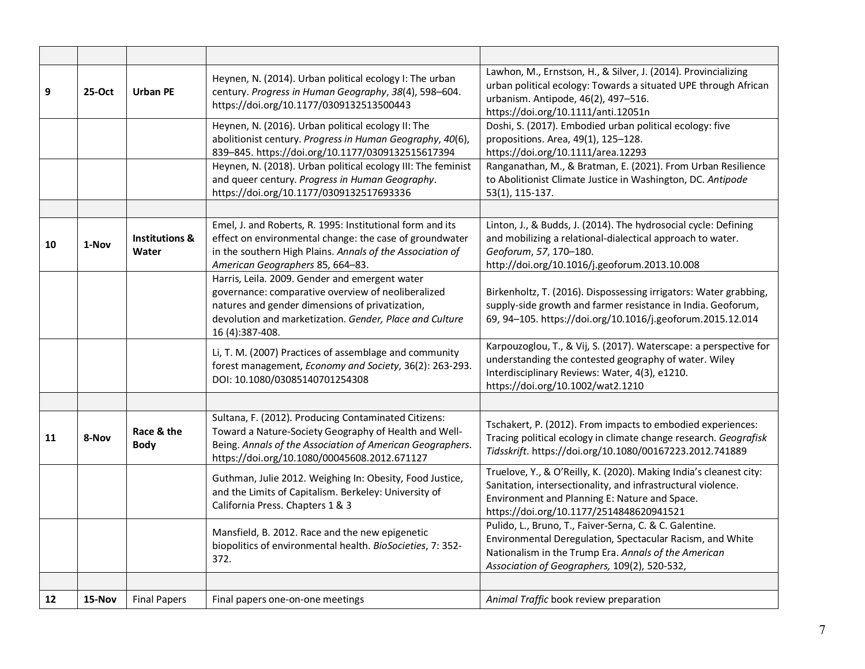| 9  | 25-Oct | <b>Urban PE</b>                    | Heynen, N. (2014). Urban political ecology I: The urban<br>century. Progress in Human Geography, 38(4), 598-604.<br>https://doi.org/10.1177/0309132513500443                                                               | Lawhon, M., Ernstson, H., & Silver, J. (2014). Provincializing<br>urban political ecology: Towards a situated UPE through African<br>urbanism. Antipode, 46(2), 497-516.<br>https://doi.org/10.1111/anti.12051n                 |
|----|--------|------------------------------------|----------------------------------------------------------------------------------------------------------------------------------------------------------------------------------------------------------------------------|---------------------------------------------------------------------------------------------------------------------------------------------------------------------------------------------------------------------------------|
|    |        |                                    | Heynen, N. (2016). Urban political ecology II: The                                                                                                                                                                         | Doshi, S. (2017). Embodied urban political ecology: five                                                                                                                                                                        |
|    |        |                                    | abolitionist century. Progress in Human Geography, 40(6),<br>839-845. https://doi.org/10.1177/0309132515617394                                                                                                             | propositions. Area, 49(1), 125-128.<br>https://doi.org/10.1111/area.12293                                                                                                                                                       |
|    |        |                                    | Heynen, N. (2018). Urban political ecology III: The feminist                                                                                                                                                               | Ranganathan, M., & Bratman, E. (2021). From Urban Resilience                                                                                                                                                                    |
|    |        |                                    | and queer century. Progress in Human Geography.<br>https://doi.org/10.1177/0309132517693336                                                                                                                                | to Abolitionist Climate Justice in Washington, DC. Antipode<br>53(1), 115-137.                                                                                                                                                  |
|    |        |                                    |                                                                                                                                                                                                                            |                                                                                                                                                                                                                                 |
|    |        |                                    | Emel, J. and Roberts, R. 1995: Institutional form and its                                                                                                                                                                  | Linton, J., & Budds, J. (2014). The hydrosocial cycle: Defining                                                                                                                                                                 |
| 10 | 1-Nov  | <b>Institutions &amp;</b><br>Water | effect on environmental change: the case of groundwater<br>in the southern High Plains. Annals of the Association of<br>American Geographers 85, 664-83.                                                                   | and mobilizing a relational-dialectical approach to water.<br>Geoforum, 57, 170-180.<br>http://doi.org/10.1016/j.geoforum.2013.10.008                                                                                           |
|    |        |                                    | Harris, Leila. 2009. Gender and emergent water                                                                                                                                                                             |                                                                                                                                                                                                                                 |
|    |        |                                    | governance: comparative overview of neoliberalized<br>natures and gender dimensions of privatization,<br>devolution and marketization. Gender, Place and Culture<br>16 (4):387-408.                                        | Birkenholtz, T. (2016). Dispossessing irrigators: Water grabbing,<br>supply-side growth and farmer resistance in India. Geoforum,<br>69, 94-105. https://doi.org/10.1016/j.geoforum.2015.12.014                                 |
|    |        |                                    | Li, T. M. (2007) Practices of assemblage and community<br>forest management, Economy and Society, 36(2): 263-293.<br>DOI: 10.1080/03085140701254308                                                                        | Karpouzoglou, T., & Vij, S. (2017). Waterscape: a perspective for<br>understanding the contested geography of water. Wiley<br>Interdisciplinary Reviews: Water, 4(3), e1210.<br>https://doi.org/10.1002/wat2.1210               |
|    |        |                                    |                                                                                                                                                                                                                            |                                                                                                                                                                                                                                 |
| 11 | 8-Nov  | Race & the<br><b>Body</b>          | Sultana, F. (2012). Producing Contaminated Citizens:<br>Toward a Nature-Society Geography of Health and Well-<br>Being. Annals of the Association of American Geographers.<br>https://doi.org/10.1080/00045608.2012.671127 | Tschakert, P. (2012). From impacts to embodied experiences:<br>Tracing political ecology in climate change research. Geografisk<br>Tidsskrift. https://doi.org/10.1080/00167223.2012.741889                                     |
|    |        |                                    | Guthman, Julie 2012. Weighing In: Obesity, Food Justice,<br>and the Limits of Capitalism. Berkeley: University of<br>California Press. Chapters 1 & 3                                                                      | Truelove, Y., & O'Reilly, K. (2020). Making India's cleanest city:<br>Sanitation, intersectionality, and infrastructural violence.<br>Environment and Planning E: Nature and Space.<br>https://doi.org/10.1177/2514848620941521 |
|    |        |                                    | Mansfield, B. 2012. Race and the new epigenetic<br>biopolitics of environmental health. BioSocieties, 7: 352-<br>372.                                                                                                      | Pulido, L., Bruno, T., Faiver-Serna, C. & C. Galentine.<br>Environmental Deregulation, Spectacular Racism, and White<br>Nationalism in the Trump Era. Annals of the American<br>Association of Geographers, 109(2), 520-532,    |
|    |        |                                    |                                                                                                                                                                                                                            |                                                                                                                                                                                                                                 |
| 12 | 15-Nov | <b>Final Papers</b>                | Final papers one-on-one meetings                                                                                                                                                                                           | Animal Traffic book review preparation                                                                                                                                                                                          |